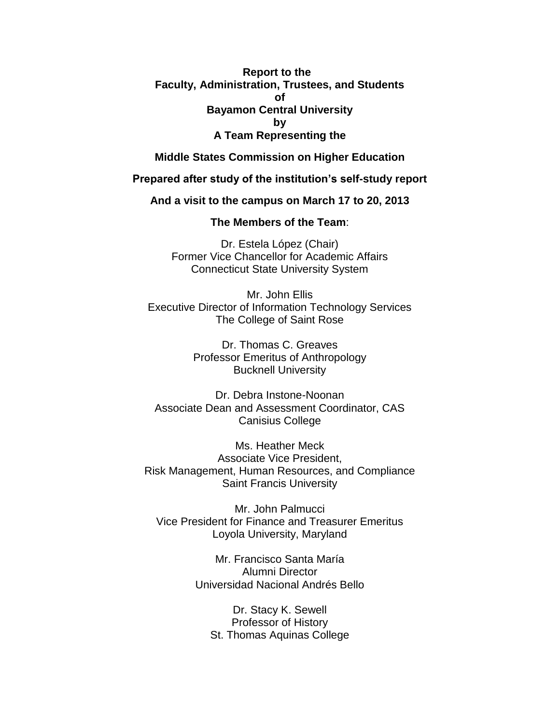**Report to the Faculty, Administration, Trustees, and Students of Bayamon Central University by A Team Representing the**

**Middle States Commission on Higher Education**

**Prepared after study of the institution's self-study report**

**And a visit to the campus on March 17 to 20, 2013**

**The Members of the Team**:

Dr. Estela López (Chair) Former Vice Chancellor for Academic Affairs Connecticut State University System

Mr. John Ellis Executive Director of Information Technology Services The College of Saint Rose

> Dr. Thomas C. Greaves Professor Emeritus of Anthropology Bucknell University

Dr. Debra Instone-Noonan Associate Dean and Assessment Coordinator, CAS Canisius College

Ms. Heather Meck Associate Vice President, Risk Management, Human Resources, and Compliance Saint Francis University

Mr. John Palmucci Vice President for Finance and Treasurer Emeritus Loyola University, Maryland

> Mr. Francisco Santa María Alumni Director Universidad Nacional Andrés Bello

Dr. Stacy K. Sewell Professor of History St. Thomas Aquinas College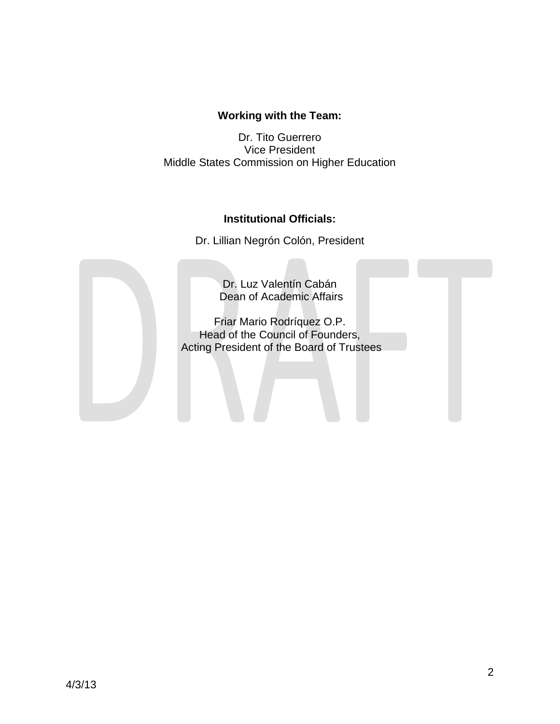## **Working with the Team:**

Dr. Tito Guerrero Vice President Middle States Commission on Higher Education

## **Institutional Officials:**

Dr. Lillian Negrón Colón, President

Dr. Luz Valentín Cabán Dean of Academic Affairs

Friar Mario Rodríquez O.P. Head of the Council of Founders, Acting President of the Board of Trustees

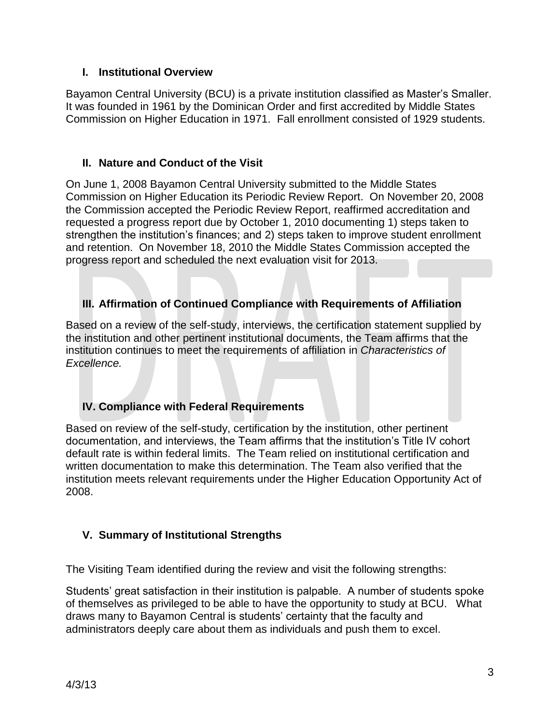## **I. Institutional Overview**

Bayamon Central University (BCU) is a private institution classified as Master's Smaller. It was founded in 1961 by the Dominican Order and first accredited by Middle States Commission on Higher Education in 1971. Fall enrollment consisted of 1929 students.

## **II. Nature and Conduct of the Visit**

On June 1, 2008 Bayamon Central University submitted to the Middle States Commission on Higher Education its Periodic Review Report. On November 20, 2008 the Commission accepted the Periodic Review Report, reaffirmed accreditation and requested a progress report due by October 1, 2010 documenting 1) steps taken to strengthen the institution's finances; and 2) steps taken to improve student enrollment and retention. On November 18, 2010 the Middle States Commission accepted the progress report and scheduled the next evaluation visit for 2013.

## **III. Affirmation of Continued Compliance with Requirements of Affiliation**

Based on a review of the self-study, interviews, the certification statement supplied by the institution and other pertinent institutional documents, the Team affirms that the institution continues to meet the requirements of affiliation in *Characteristics of Excellence.*

## **IV. Compliance with Federal Requirements**

Based on review of the self-study, certification by the institution, other pertinent documentation, and interviews, the Team affirms that the institution's Title IV cohort default rate is within federal limits. The Team relied on institutional certification and written documentation to make this determination. The Team also verified that the institution meets relevant requirements under the Higher Education Opportunity Act of 2008.

# **V. Summary of Institutional Strengths**

The Visiting Team identified during the review and visit the following strengths:

Students' great satisfaction in their institution is palpable. A number of students spoke of themselves as privileged to be able to have the opportunity to study at BCU. What draws many to Bayamon Central is students' certainty that the faculty and administrators deeply care about them as individuals and push them to excel.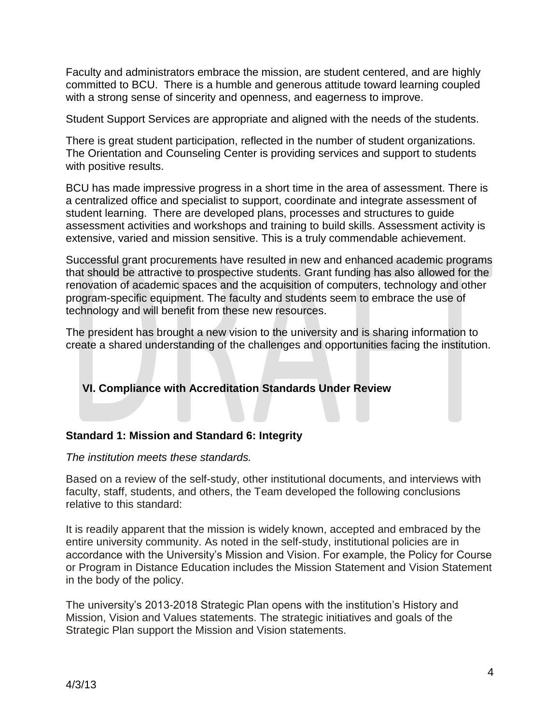Faculty and administrators embrace the mission, are student centered, and are highly committed to BCU. There is a humble and generous attitude toward learning coupled with a strong sense of sincerity and openness, and eagerness to improve.

Student Support Services are appropriate and aligned with the needs of the students.

There is great student participation, reflected in the number of student organizations. The Orientation and Counseling Center is providing services and support to students with positive results.

BCU has made impressive progress in a short time in the area of assessment. There is a centralized office and specialist to support, coordinate and integrate assessment of student learning. There are developed plans, processes and structures to guide assessment activities and workshops and training to build skills. Assessment activity is extensive, varied and mission sensitive. This is a truly commendable achievement.

Successful grant procurements have resulted in new and enhanced academic programs that should be attractive to prospective students. Grant funding has also allowed for the renovation of academic spaces and the acquisition of computers, technology and other program-specific equipment. The faculty and students seem to embrace the use of technology and will benefit from these new resources.

The president has brought a new vision to the university and is sharing information to create a shared understanding of the challenges and opportunities facing the institution.

**VI. Compliance with Accreditation Standards Under Review**

#### **Standard 1: Mission and Standard 6: Integrity**

#### *The institution meets these standards.*

Based on a review of the self-study, other institutional documents, and interviews with faculty, staff, students, and others, the Team developed the following conclusions relative to this standard:

It is readily apparent that the mission is widely known, accepted and embraced by the entire university community. As noted in the self-study, institutional policies are in accordance with the University's Mission and Vision. For example, the Policy for Course or Program in Distance Education includes the Mission Statement and Vision Statement in the body of the policy.

The university's 2013-2018 Strategic Plan opens with the institution's History and Mission, Vision and Values statements. The strategic initiatives and goals of the Strategic Plan support the Mission and Vision statements.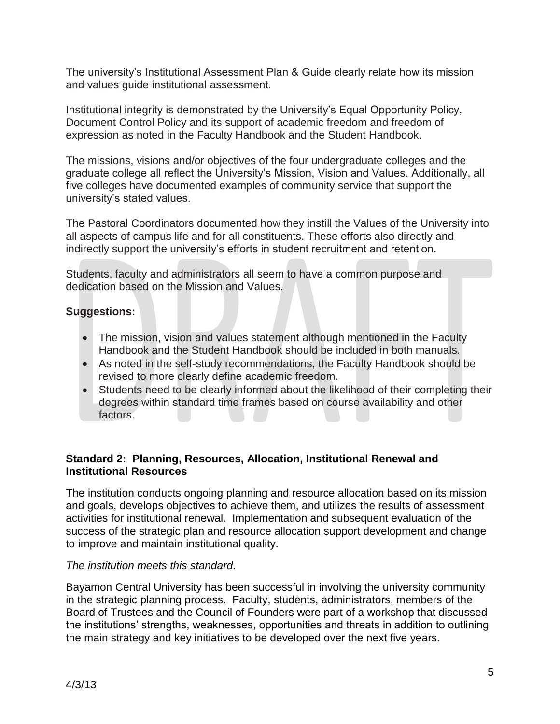The university's Institutional Assessment Plan & Guide clearly relate how its mission and values guide institutional assessment.

Institutional integrity is demonstrated by the University's Equal Opportunity Policy, Document Control Policy and its support of academic freedom and freedom of expression as noted in the Faculty Handbook and the Student Handbook.

The missions, visions and/or objectives of the four undergraduate colleges and the graduate college all reflect the University's Mission, Vision and Values. Additionally, all five colleges have documented examples of community service that support the university's stated values.

The Pastoral Coordinators documented how they instill the Values of the University into all aspects of campus life and for all constituents. These efforts also directly and indirectly support the university's efforts in student recruitment and retention.

Students, faculty and administrators all seem to have a common purpose and dedication based on the Mission and Values.

## **Suggestions:**

- The mission, vision and values statement although mentioned in the Faculty Handbook and the Student Handbook should be included in both manuals.
- As noted in the self-study recommendations, the Faculty Handbook should be revised to more clearly define academic freedom.
- Students need to be clearly informed about the likelihood of their completing their degrees within standard time frames based on course availability and other factors.

## **Standard 2: Planning, Resources, Allocation, Institutional Renewal and Institutional Resources**

The institution conducts ongoing planning and resource allocation based on its mission and goals, develops objectives to achieve them, and utilizes the results of assessment activities for institutional renewal. Implementation and subsequent evaluation of the success of the strategic plan and resource allocation support development and change to improve and maintain institutional quality.

#### *The institution meets this standard.*

Bayamon Central University has been successful in involving the university community in the strategic planning process. Faculty, students, administrators, members of the Board of Trustees and the Council of Founders were part of a workshop that discussed the institutions' strengths, weaknesses, opportunities and threats in addition to outlining the main strategy and key initiatives to be developed over the next five years.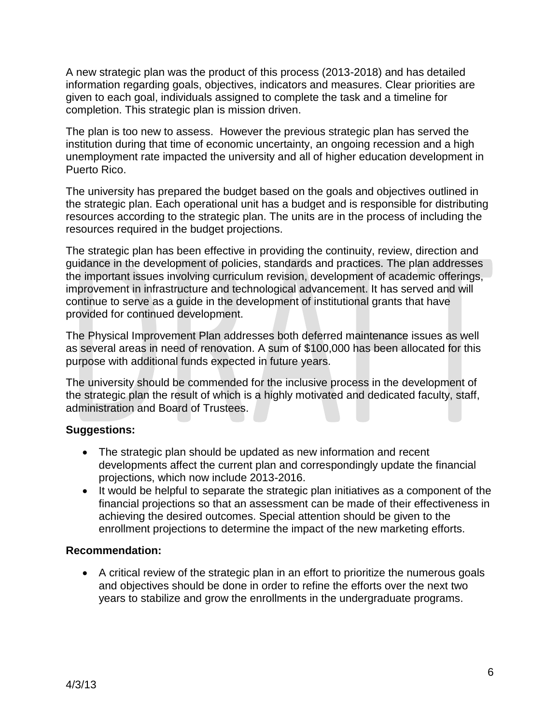A new strategic plan was the product of this process (2013-2018) and has detailed information regarding goals, objectives, indicators and measures. Clear priorities are given to each goal, individuals assigned to complete the task and a timeline for completion. This strategic plan is mission driven.

The plan is too new to assess. However the previous strategic plan has served the institution during that time of economic uncertainty, an ongoing recession and a high unemployment rate impacted the university and all of higher education development in Puerto Rico.

The university has prepared the budget based on the goals and objectives outlined in the strategic plan. Each operational unit has a budget and is responsible for distributing resources according to the strategic plan. The units are in the process of including the resources required in the budget projections.

The strategic plan has been effective in providing the continuity, review, direction and guidance in the development of policies, standards and practices. The plan addresses the important issues involving curriculum revision, development of academic offerings, improvement in infrastructure and technological advancement. It has served and will continue to serve as a guide in the development of institutional grants that have provided for continued development.

The Physical Improvement Plan addresses both deferred maintenance issues as well as several areas in need of renovation. A sum of \$100,000 has been allocated for this purpose with additional funds expected in future years.

The university should be commended for the inclusive process in the development of the strategic plan the result of which is a highly motivated and dedicated faculty, staff, administration and Board of Trustees.

## **Suggestions:**

- The strategic plan should be updated as new information and recent developments affect the current plan and correspondingly update the financial projections, which now include 2013-2016.
- It would be helpful to separate the strategic plan initiatives as a component of the financial projections so that an assessment can be made of their effectiveness in achieving the desired outcomes. Special attention should be given to the enrollment projections to determine the impact of the new marketing efforts.

#### **Recommendation:**

 A critical review of the strategic plan in an effort to prioritize the numerous goals and objectives should be done in order to refine the efforts over the next two years to stabilize and grow the enrollments in the undergraduate programs.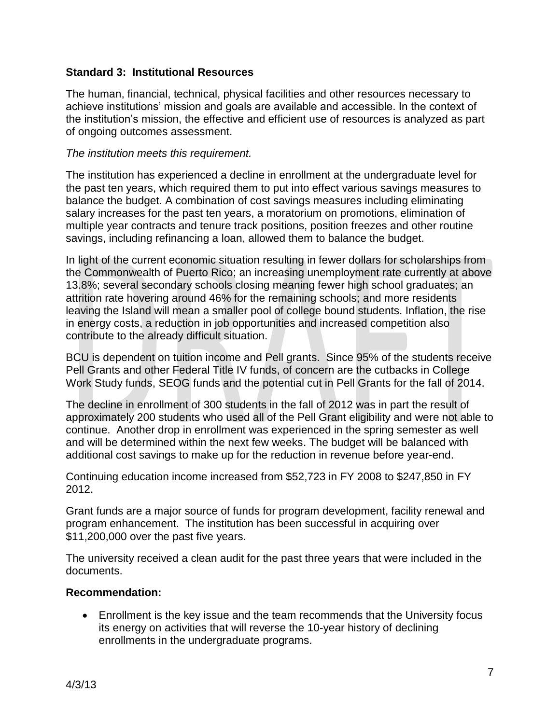#### **Standard 3: Institutional Resources**

The human, financial, technical, physical facilities and other resources necessary to achieve institutions' mission and goals are available and accessible. In the context of the institution's mission, the effective and efficient use of resources is analyzed as part of ongoing outcomes assessment.

#### *The institution meets this requirement.*

The institution has experienced a decline in enrollment at the undergraduate level for the past ten years, which required them to put into effect various savings measures to balance the budget. A combination of cost savings measures including eliminating salary increases for the past ten years, a moratorium on promotions, elimination of multiple year contracts and tenure track positions, position freezes and other routine savings, including refinancing a loan, allowed them to balance the budget.

In light of the current economic situation resulting in fewer dollars for scholarships from the Commonwealth of Puerto Rico; an increasing unemployment rate currently at above 13.8%; several secondary schools closing meaning fewer high school graduates; an attrition rate hovering around 46% for the remaining schools; and more residents leaving the Island will mean a smaller pool of college bound students. Inflation, the rise in energy costs, a reduction in job opportunities and increased competition also contribute to the already difficult situation.

BCU is dependent on tuition income and Pell grants. Since 95% of the students receive Pell Grants and other Federal Title IV funds, of concern are the cutbacks in College Work Study funds, SEOG funds and the potential cut in Pell Grants for the fall of 2014.

The decline in enrollment of 300 students in the fall of 2012 was in part the result of approximately 200 students who used all of the Pell Grant eligibility and were not able to continue. Another drop in enrollment was experienced in the spring semester as well and will be determined within the next few weeks. The budget will be balanced with additional cost savings to make up for the reduction in revenue before year-end.

Continuing education income increased from \$52,723 in FY 2008 to \$247,850 in FY 2012.

Grant funds are a major source of funds for program development, facility renewal and program enhancement. The institution has been successful in acquiring over \$11,200,000 over the past five years.

The university received a clean audit for the past three years that were included in the documents.

#### **Recommendation:**

 Enrollment is the key issue and the team recommends that the University focus its energy on activities that will reverse the 10-year history of declining enrollments in the undergraduate programs.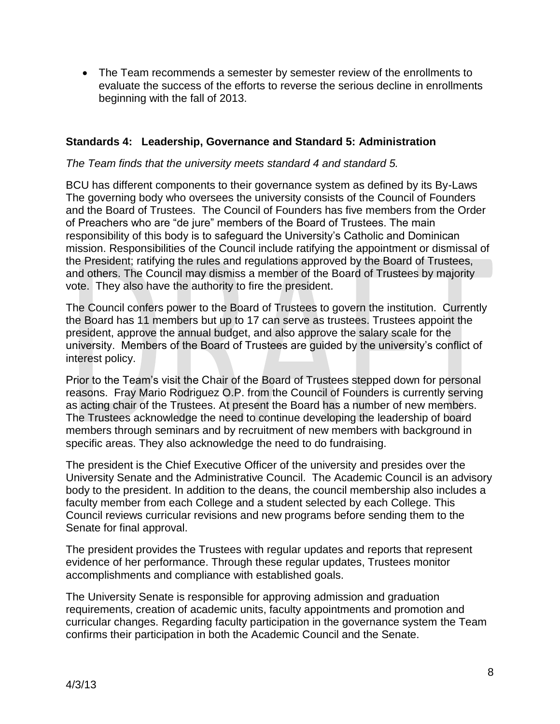• The Team recommends a semester by semester review of the enrollments to evaluate the success of the efforts to reverse the serious decline in enrollments beginning with the fall of 2013.

#### **Standards 4: Leadership, Governance and Standard 5: Administration**

#### *The Team finds that the university meets standard 4 and standard 5.*

BCU has different components to their governance system as defined by its By-Laws The governing body who oversees the university consists of the Council of Founders and the Board of Trustees. The Council of Founders has five members from the Order of Preachers who are "de jure" members of the Board of Trustees. The main responsibility of this body is to safeguard the University's Catholic and Dominican mission. Responsibilities of the Council include ratifying the appointment or dismissal of the President; ratifying the rules and regulations approved by the Board of Trustees, and others. The Council may dismiss a member of the Board of Trustees by majority vote. They also have the authority to fire the president.

The Council confers power to the Board of Trustees to govern the institution. Currently the Board has 11 members but up to 17 can serve as trustees. Trustees appoint the president, approve the annual budget, and also approve the salary scale for the university. Members of the Board of Trustees are guided by the university's conflict of interest policy.

Prior to the Team's visit the Chair of the Board of Trustees stepped down for personal reasons. Fray Mario Rodriguez O.P. from the Council of Founders is currently serving as acting chair of the Trustees. At present the Board has a number of new members. The Trustees acknowledge the need to continue developing the leadership of board members through seminars and by recruitment of new members with background in specific areas. They also acknowledge the need to do fundraising.

The president is the Chief Executive Officer of the university and presides over the University Senate and the Administrative Council. The Academic Council is an advisory body to the president. In addition to the deans, the council membership also includes a faculty member from each College and a student selected by each College. This Council reviews curricular revisions and new programs before sending them to the Senate for final approval.

The president provides the Trustees with regular updates and reports that represent evidence of her performance. Through these regular updates, Trustees monitor accomplishments and compliance with established goals.

The University Senate is responsible for approving admission and graduation requirements, creation of academic units, faculty appointments and promotion and curricular changes. Regarding faculty participation in the governance system the Team confirms their participation in both the Academic Council and the Senate.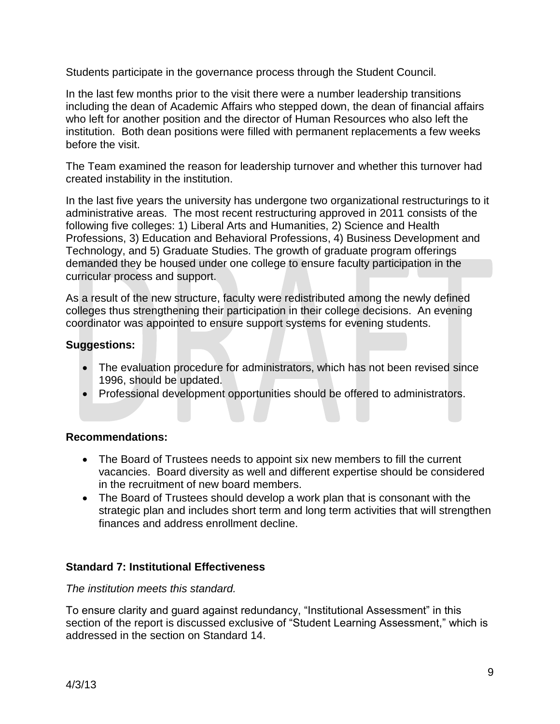Students participate in the governance process through the Student Council.

In the last few months prior to the visit there were a number leadership transitions including the dean of Academic Affairs who stepped down, the dean of financial affairs who left for another position and the director of Human Resources who also left the institution. Both dean positions were filled with permanent replacements a few weeks before the visit.

The Team examined the reason for leadership turnover and whether this turnover had created instability in the institution.

In the last five years the university has undergone two organizational restructurings to it administrative areas. The most recent restructuring approved in 2011 consists of the following five colleges: 1) Liberal Arts and Humanities, 2) Science and Health Professions, 3) Education and Behavioral Professions, 4) Business Development and Technology, and 5) Graduate Studies. The growth of graduate program offerings demanded they be housed under one college to ensure faculty participation in the curricular process and support.

As a result of the new structure, faculty were redistributed among the newly defined colleges thus strengthening their participation in their college decisions. An evening coordinator was appointed to ensure support systems for evening students.

## **Suggestions:**

- The evaluation procedure for administrators, which has not been revised since 1996, should be updated.
- Professional development opportunities should be offered to administrators.

## **Recommendations:**

- The Board of Trustees needs to appoint six new members to fill the current vacancies. Board diversity as well and different expertise should be considered in the recruitment of new board members.
- The Board of Trustees should develop a work plan that is consonant with the strategic plan and includes short term and long term activities that will strengthen finances and address enrollment decline.

## **Standard 7: Institutional Effectiveness**

## *The institution meets this standard.*

To ensure clarity and guard against redundancy, "Institutional Assessment" in this section of the report is discussed exclusive of "Student Learning Assessment," which is addressed in the section on Standard 14.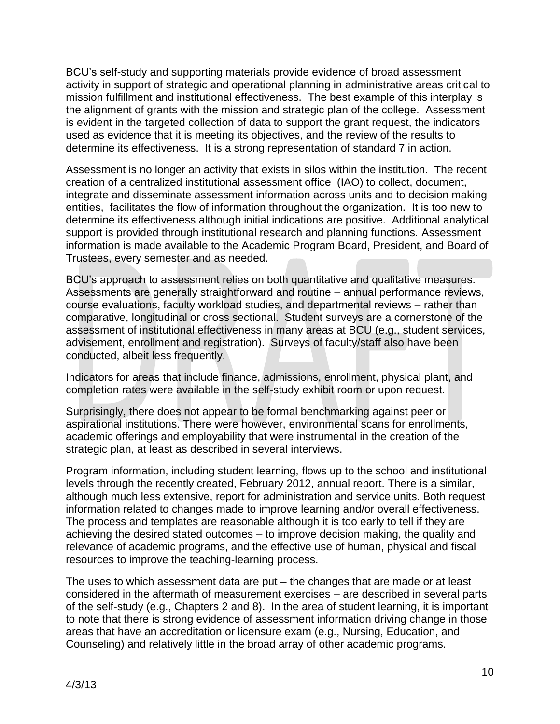BCU's self-study and supporting materials provide evidence of broad assessment activity in support of strategic and operational planning in administrative areas critical to mission fulfillment and institutional effectiveness. The best example of this interplay is the alignment of grants with the mission and strategic plan of the college. Assessment is evident in the targeted collection of data to support the grant request, the indicators used as evidence that it is meeting its objectives, and the review of the results to determine its effectiveness. It is a strong representation of standard 7 in action.

Assessment is no longer an activity that exists in silos within the institution. The recent creation of a centralized institutional assessment office (IAO) to collect, document, integrate and disseminate assessment information across units and to decision making entities, facilitates the flow of information throughout the organization. It is too new to determine its effectiveness although initial indications are positive. Additional analytical support is provided through institutional research and planning functions. Assessment information is made available to the Academic Program Board, President, and Board of Trustees, every semester and as needed.

BCU's approach to assessment relies on both quantitative and qualitative measures. Assessments are generally straightforward and routine – annual performance reviews, course evaluations, faculty workload studies, and departmental reviews – rather than comparative, longitudinal or cross sectional. Student surveys are a cornerstone of the assessment of institutional effectiveness in many areas at BCU (e.g., student services, advisement, enrollment and registration). Surveys of faculty/staff also have been conducted, albeit less frequently.

Indicators for areas that include finance, admissions, enrollment, physical plant, and completion rates were available in the self-study exhibit room or upon request.

Surprisingly, there does not appear to be formal benchmarking against peer or aspirational institutions. There were however, environmental scans for enrollments, academic offerings and employability that were instrumental in the creation of the strategic plan, at least as described in several interviews.

Program information, including student learning, flows up to the school and institutional levels through the recently created, February 2012, annual report. There is a similar, although much less extensive, report for administration and service units. Both request information related to changes made to improve learning and/or overall effectiveness. The process and templates are reasonable although it is too early to tell if they are achieving the desired stated outcomes – to improve decision making, the quality and relevance of academic programs, and the effective use of human, physical and fiscal resources to improve the teaching-learning process.

The uses to which assessment data are put – the changes that are made or at least considered in the aftermath of measurement exercises – are described in several parts of the self-study (e.g., Chapters 2 and 8). In the area of student learning, it is important to note that there is strong evidence of assessment information driving change in those areas that have an accreditation or licensure exam (e.g., Nursing, Education, and Counseling) and relatively little in the broad array of other academic programs.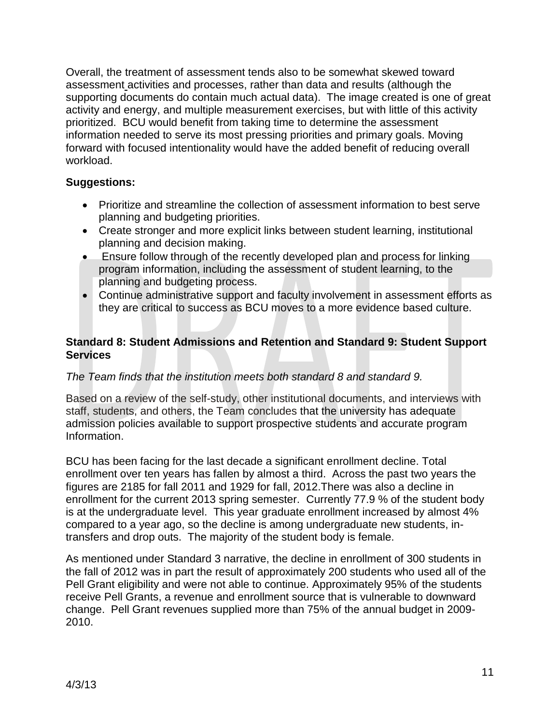Overall, the treatment of assessment tends also to be somewhat skewed toward assessment activities and processes, rather than data and results (although the supporting documents do contain much actual data). The image created is one of great activity and energy, and multiple measurement exercises, but with little of this activity prioritized. BCU would benefit from taking time to determine the assessment information needed to serve its most pressing priorities and primary goals. Moving forward with focused intentionality would have the added benefit of reducing overall workload.

#### **Suggestions:**

- Prioritize and streamline the collection of assessment information to best serve planning and budgeting priorities.
- Create stronger and more explicit links between student learning, institutional planning and decision making.
- Ensure follow through of the recently developed plan and process for linking program information, including the assessment of student learning, to the planning and budgeting process.
- Continue administrative support and faculty involvement in assessment efforts as they are critical to success as BCU moves to a more evidence based culture.

## **Standard 8: Student Admissions and Retention and Standard 9: Student Support Services**

## *The Team finds that the institution meets both standard 8 and standard 9.*

Based on a review of the self-study, other institutional documents, and interviews with staff, students, and others, the Team concludes that the university has adequate admission policies available to support prospective students and accurate program Information.

BCU has been facing for the last decade a significant enrollment decline. Total enrollment over ten years has fallen by almost a third. Across the past two years the figures are 2185 for fall 2011 and 1929 for fall, 2012.There was also a decline in enrollment for the current 2013 spring semester. Currently 77.9 % of the student body is at the undergraduate level. This year graduate enrollment increased by almost 4% compared to a year ago, so the decline is among undergraduate new students, intransfers and drop outs. The majority of the student body is female.

As mentioned under Standard 3 narrative, the decline in enrollment of 300 students in the fall of 2012 was in part the result of approximately 200 students who used all of the Pell Grant eligibility and were not able to continue. Approximately 95% of the students receive Pell Grants, a revenue and enrollment source that is vulnerable to downward change. Pell Grant revenues supplied more than 75% of the annual budget in 2009- 2010.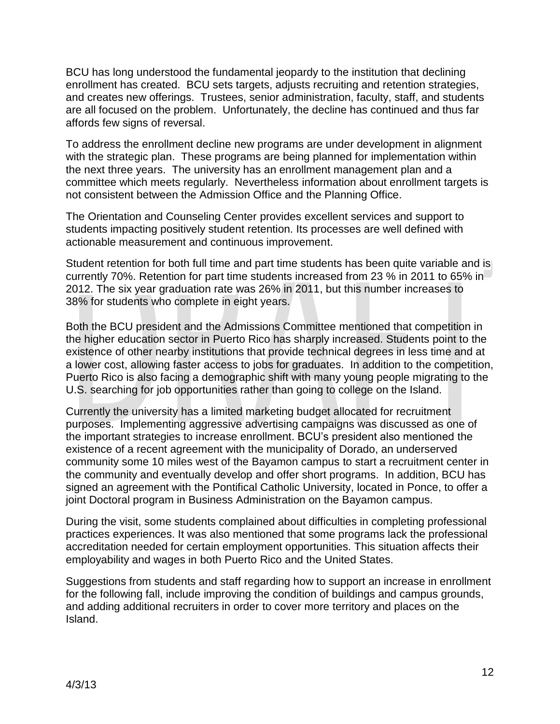BCU has long understood the fundamental jeopardy to the institution that declining enrollment has created. BCU sets targets, adjusts recruiting and retention strategies, and creates new offerings. Trustees, senior administration, faculty, staff, and students are all focused on the problem. Unfortunately, the decline has continued and thus far affords few signs of reversal.

To address the enrollment decline new programs are under development in alignment with the strategic plan. These programs are being planned for implementation within the next three years. The university has an enrollment management plan and a committee which meets regularly. Nevertheless information about enrollment targets is not consistent between the Admission Office and the Planning Office.

The Orientation and Counseling Center provides excellent services and support to students impacting positively student retention. Its processes are well defined with actionable measurement and continuous improvement.

Student retention for both full time and part time students has been quite variable and is currently 70%. Retention for part time students increased from 23 % in 2011 to 65% in 2012. The six year graduation rate was 26% in 2011, but this number increases to 38% for students who complete in eight years.

Both the BCU president and the Admissions Committee mentioned that competition in the higher education sector in Puerto Rico has sharply increased. Students point to the existence of other nearby institutions that provide technical degrees in less time and at a lower cost, allowing faster access to jobs for graduates. In addition to the competition, Puerto Rico is also facing a demographic shift with many young people migrating to the U.S. searching for job opportunities rather than going to college on the Island.

Currently the university has a limited marketing budget allocated for recruitment purposes. Implementing aggressive advertising campaigns was discussed as one of the important strategies to increase enrollment. BCU's president also mentioned the existence of a recent agreement with the municipality of Dorado, an underserved community some 10 miles west of the Bayamon campus to start a recruitment center in the community and eventually develop and offer short programs. In addition, BCU has signed an agreement with the Pontifical Catholic University, located in Ponce, to offer a joint Doctoral program in Business Administration on the Bayamon campus.

During the visit, some students complained about difficulties in completing professional practices experiences. It was also mentioned that some programs lack the professional accreditation needed for certain employment opportunities. This situation affects their employability and wages in both Puerto Rico and the United States.

Suggestions from students and staff regarding how to support an increase in enrollment for the following fall, include improving the condition of buildings and campus grounds, and adding additional recruiters in order to cover more territory and places on the Island.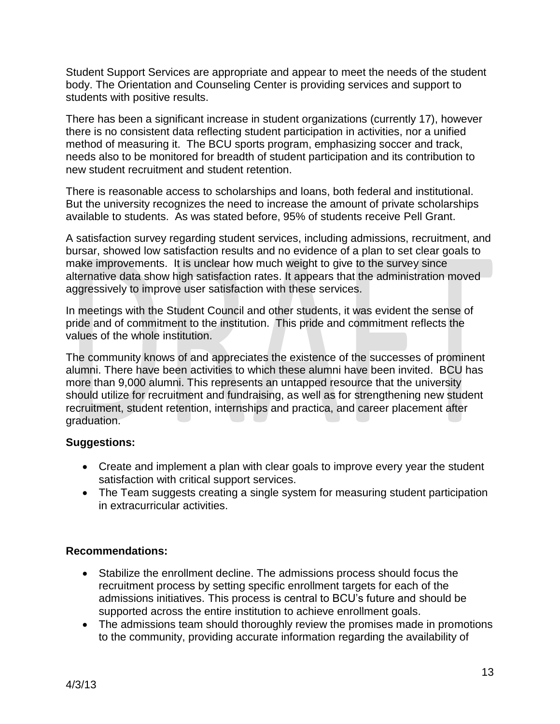Student Support Services are appropriate and appear to meet the needs of the student body. The Orientation and Counseling Center is providing services and support to students with positive results.

There has been a significant increase in student organizations (currently 17), however there is no consistent data reflecting student participation in activities, nor a unified method of measuring it. The BCU sports program, emphasizing soccer and track, needs also to be monitored for breadth of student participation and its contribution to new student recruitment and student retention.

There is reasonable access to scholarships and loans, both federal and institutional. But the university recognizes the need to increase the amount of private scholarships available to students. As was stated before, 95% of students receive Pell Grant.

A satisfaction survey regarding student services, including admissions, recruitment, and bursar, showed low satisfaction results and no evidence of a plan to set clear goals to make improvements. It is unclear how much weight to give to the survey since alternative data show high satisfaction rates. It appears that the administration moved aggressively to improve user satisfaction with these services.

In meetings with the Student Council and other students, it was evident the sense of pride and of commitment to the institution. This pride and commitment reflects the values of the whole institution.

The community knows of and appreciates the existence of the successes of prominent alumni. There have been activities to which these alumni have been invited. BCU has more than 9,000 alumni. This represents an untapped resource that the university should utilize for recruitment and fundraising, as well as for strengthening new student recruitment, student retention, internships and practica, and career placement after graduation.

## **Suggestions:**

- Create and implement a plan with clear goals to improve every year the student satisfaction with critical support services.
- The Team suggests creating a single system for measuring student participation in extracurricular activities.

## **Recommendations:**

- Stabilize the enrollment decline. The admissions process should focus the recruitment process by setting specific enrollment targets for each of the admissions initiatives. This process is central to BCU's future and should be supported across the entire institution to achieve enrollment goals.
- The admissions team should thoroughly review the promises made in promotions to the community, providing accurate information regarding the availability of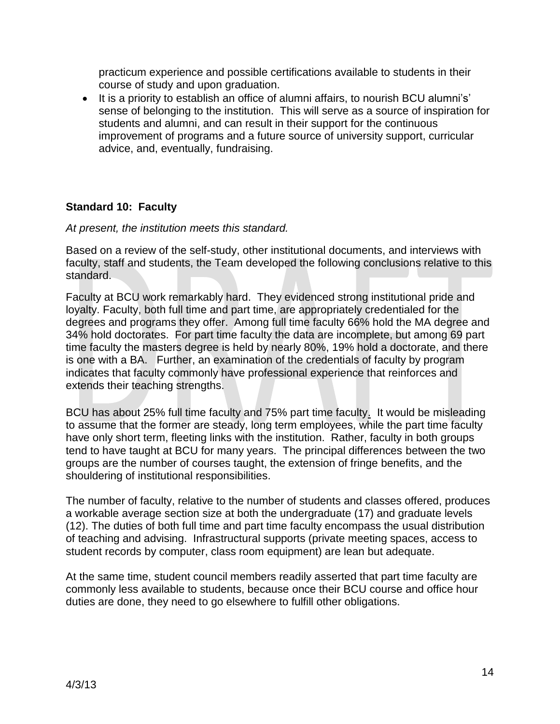practicum experience and possible certifications available to students in their course of study and upon graduation.

• It is a priority to establish an office of alumni affairs, to nourish BCU alumni's' sense of belonging to the institution. This will serve as a source of inspiration for students and alumni, and can result in their support for the continuous improvement of programs and a future source of university support, curricular advice, and, eventually, fundraising.

## **Standard 10: Faculty**

#### *At present, the institution meets this standard.*

Based on a review of the self-study, other institutional documents, and interviews with faculty, staff and students, the Team developed the following conclusions relative to this standard.

Faculty at BCU work remarkably hard. They evidenced strong institutional pride and loyalty. Faculty, both full time and part time, are appropriately credentialed for the degrees and programs they offer. Among full time faculty 66% hold the MA degree and 34% hold doctorates. For part time faculty the data are incomplete, but among 69 part time faculty the masters degree is held by nearly 80%, 19% hold a doctorate, and there is one with a BA. Further, an examination of the credentials of faculty by program indicates that faculty commonly have professional experience that reinforces and extends their teaching strengths.

BCU has about 25% full time faculty and 75% part time faculty. It would be misleading to assume that the former are steady, long term employees, while the part time faculty have only short term, fleeting links with the institution. Rather, faculty in both groups tend to have taught at BCU for many years. The principal differences between the two groups are the number of courses taught, the extension of fringe benefits, and the shouldering of institutional responsibilities.

The number of faculty, relative to the number of students and classes offered, produces a workable average section size at both the undergraduate (17) and graduate levels (12). The duties of both full time and part time faculty encompass the usual distribution of teaching and advising. Infrastructural supports (private meeting spaces, access to student records by computer, class room equipment) are lean but adequate.

At the same time, student council members readily asserted that part time faculty are commonly less available to students, because once their BCU course and office hour duties are done, they need to go elsewhere to fulfill other obligations.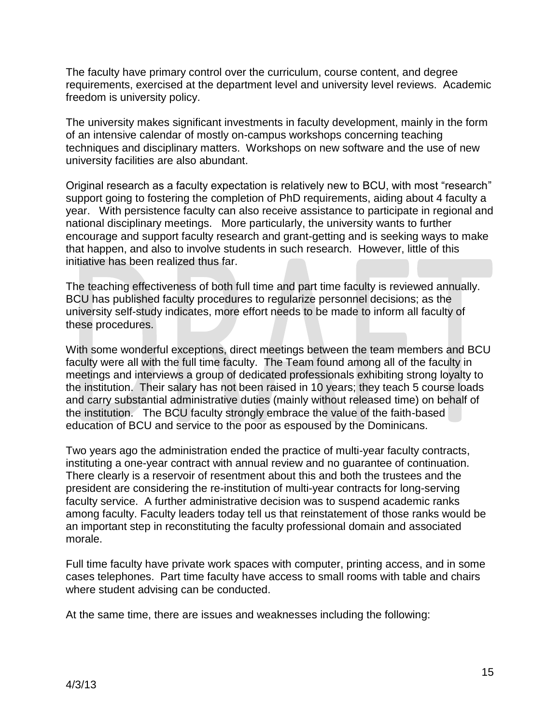The faculty have primary control over the curriculum, course content, and degree requirements, exercised at the department level and university level reviews. Academic freedom is university policy.

The university makes significant investments in faculty development, mainly in the form of an intensive calendar of mostly on-campus workshops concerning teaching techniques and disciplinary matters. Workshops on new software and the use of new university facilities are also abundant.

Original research as a faculty expectation is relatively new to BCU, with most "research" support going to fostering the completion of PhD requirements, aiding about 4 faculty a year. With persistence faculty can also receive assistance to participate in regional and national disciplinary meetings. More particularly, the university wants to further encourage and support faculty research and grant-getting and is seeking ways to make that happen, and also to involve students in such research. However, little of this initiative has been realized thus far.

The teaching effectiveness of both full time and part time faculty is reviewed annually. BCU has published faculty procedures to regularize personnel decisions; as the university self-study indicates, more effort needs to be made to inform all faculty of these procedures.

With some wonderful exceptions, direct meetings between the team members and BCU faculty were all with the full time faculty. The Team found among all of the faculty in meetings and interviews a group of dedicated professionals exhibiting strong loyalty to the institution. Their salary has not been raised in 10 years; they teach 5 course loads and carry substantial administrative duties (mainly without released time) on behalf of the institution. The BCU faculty strongly embrace the value of the faith-based education of BCU and service to the poor as espoused by the Dominicans.

Two years ago the administration ended the practice of multi-year faculty contracts, instituting a one-year contract with annual review and no guarantee of continuation. There clearly is a reservoir of resentment about this and both the trustees and the president are considering the re-institution of multi-year contracts for long-serving faculty service. A further administrative decision was to suspend academic ranks among faculty. Faculty leaders today tell us that reinstatement of those ranks would be an important step in reconstituting the faculty professional domain and associated morale.

Full time faculty have private work spaces with computer, printing access, and in some cases telephones. Part time faculty have access to small rooms with table and chairs where student advising can be conducted.

At the same time, there are issues and weaknesses including the following: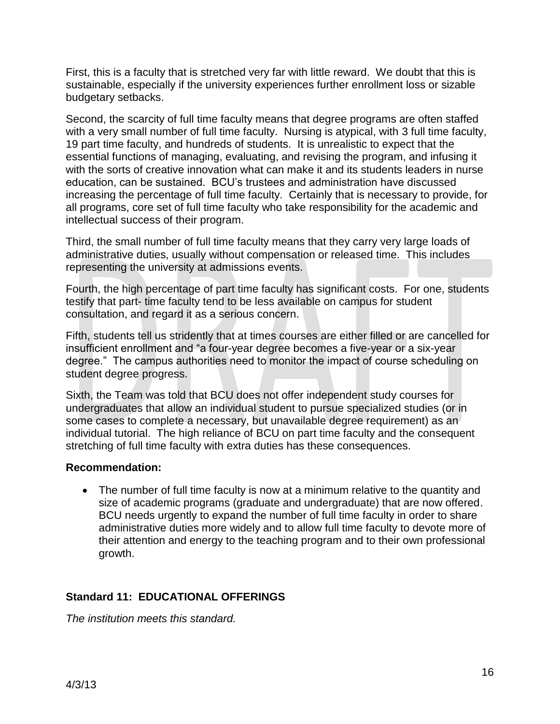First, this is a faculty that is stretched very far with little reward. We doubt that this is sustainable, especially if the university experiences further enrollment loss or sizable budgetary setbacks.

Second, the scarcity of full time faculty means that degree programs are often staffed with a very small number of full time faculty. Nursing is atypical, with 3 full time faculty, 19 part time faculty, and hundreds of students. It is unrealistic to expect that the essential functions of managing, evaluating, and revising the program, and infusing it with the sorts of creative innovation what can make it and its students leaders in nurse education, can be sustained. BCU's trustees and administration have discussed increasing the percentage of full time faculty. Certainly that is necessary to provide, for all programs, core set of full time faculty who take responsibility for the academic and intellectual success of their program.

Third, the small number of full time faculty means that they carry very large loads of administrative duties, usually without compensation or released time. This includes representing the university at admissions events.

Fourth, the high percentage of part time faculty has significant costs. For one, students testify that part- time faculty tend to be less available on campus for student consultation, and regard it as a serious concern.

Fifth, students tell us stridently that at times courses are either filled or are cancelled for insufficient enrollment and "a four-year degree becomes a five-year or a six-year degree.‖ The campus authorities need to monitor the impact of course scheduling on student degree progress.

Sixth, the Team was told that BCU does not offer independent study courses for undergraduates that allow an individual student to pursue specialized studies (or in some cases to complete a necessary, but unavailable degree requirement) as an individual tutorial. The high reliance of BCU on part time faculty and the consequent stretching of full time faculty with extra duties has these consequences.

#### **Recommendation:**

 The number of full time faculty is now at a minimum relative to the quantity and size of academic programs (graduate and undergraduate) that are now offered. BCU needs urgently to expand the number of full time faculty in order to share administrative duties more widely and to allow full time faculty to devote more of their attention and energy to the teaching program and to their own professional growth.

## **Standard 11: EDUCATIONAL OFFERINGS**

*The institution meets this standard.*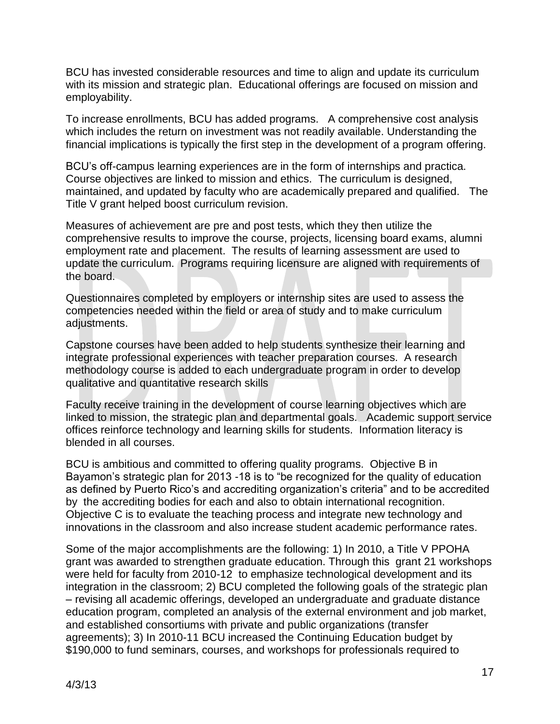BCU has invested considerable resources and time to align and update its curriculum with its mission and strategic plan. Educational offerings are focused on mission and employability.

To increase enrollments, BCU has added programs. A comprehensive cost analysis which includes the return on investment was not readily available. Understanding the financial implications is typically the first step in the development of a program offering.

BCU's off-campus learning experiences are in the form of internships and practica. Course objectives are linked to mission and ethics. The curriculum is designed, maintained, and updated by faculty who are academically prepared and qualified. The Title V grant helped boost curriculum revision.

Measures of achievement are pre and post tests, which they then utilize the comprehensive results to improve the course, projects, licensing board exams, alumni employment rate and placement. The results of learning assessment are used to update the curriculum. Programs requiring licensure are aligned with requirements of the board.

Questionnaires completed by employers or internship sites are used to assess the competencies needed within the field or area of study and to make curriculum adjustments.

Capstone courses have been added to help students synthesize their learning and integrate professional experiences with teacher preparation courses. A research methodology course is added to each undergraduate program in order to develop qualitative and quantitative research skills

Faculty receive training in the development of course learning objectives which are linked to mission, the strategic plan and departmental goals. Academic support service offices reinforce technology and learning skills for students. Information literacy is blended in all courses.

BCU is ambitious and committed to offering quality programs. Objective B in Bayamon's strategic plan for 2013 -18 is to "be recognized for the quality of education as defined by Puerto Rico's and accrediting organization's criteria" and to be accredited by the accrediting bodies for each and also to obtain international recognition. Objective C is to evaluate the teaching process and integrate new technology and innovations in the classroom and also increase student academic performance rates.

Some of the major accomplishments are the following: 1) In 2010, a Title V PPOHA grant was awarded to strengthen graduate education. Through this grant 21 workshops were held for faculty from 2010-12 to emphasize technological development and its integration in the classroom; 2) BCU completed the following goals of the strategic plan – revising all academic offerings, developed an undergraduate and graduate distance education program, completed an analysis of the external environment and job market, and established consortiums with private and public organizations (transfer agreements); 3) In 2010-11 BCU increased the Continuing Education budget by \$190,000 to fund seminars, courses, and workshops for professionals required to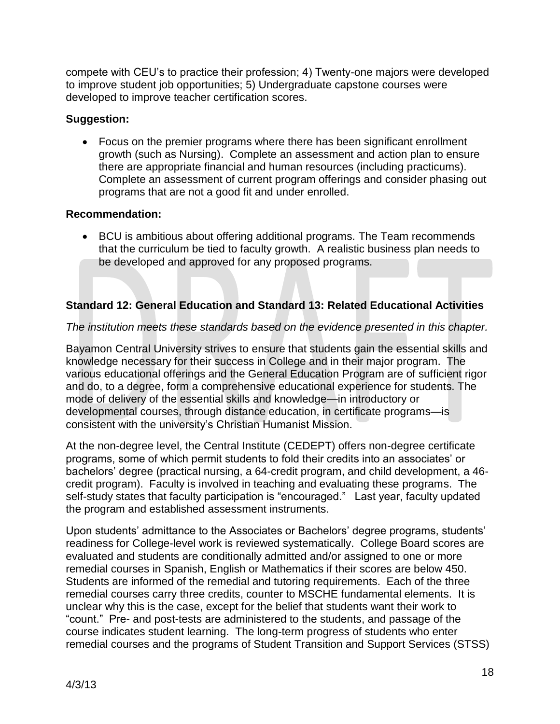compete with CEU's to practice their profession; 4) Twenty-one majors were developed to improve student job opportunities; 5) Undergraduate capstone courses were developed to improve teacher certification scores.

## **Suggestion:**

 Focus on the premier programs where there has been significant enrollment growth (such as Nursing). Complete an assessment and action plan to ensure there are appropriate financial and human resources (including practicums). Complete an assessment of current program offerings and consider phasing out programs that are not a good fit and under enrolled.

## **Recommendation:**

• BCU is ambitious about offering additional programs. The Team recommends that the curriculum be tied to faculty growth. A realistic business plan needs to be developed and approved for any proposed programs.

# **Standard 12: General Education and Standard 13: Related Educational Activities**

## *The institution meets these standards based on the evidence presented in this chapter.*

Bayamon Central University strives to ensure that students gain the essential skills and knowledge necessary for their success in College and in their major program. The various educational offerings and the General Education Program are of sufficient rigor and do, to a degree, form a comprehensive educational experience for students. The mode of delivery of the essential skills and knowledge—in introductory or developmental courses, through distance education, in certificate programs—is consistent with the university's Christian Humanist Mission.

At the non-degree level, the Central Institute (CEDEPT) offers non-degree certificate programs, some of which permit students to fold their credits into an associates' or bachelors' degree (practical nursing, a 64-credit program, and child development, a 46 credit program). Faculty is involved in teaching and evaluating these programs. The self-study states that faculty participation is "encouraged." Last year, faculty updated the program and established assessment instruments.

Upon students' admittance to the Associates or Bachelors' degree programs, students' readiness for College-level work is reviewed systematically. College Board scores are evaluated and students are conditionally admitted and/or assigned to one or more remedial courses in Spanish, English or Mathematics if their scores are below 450. Students are informed of the remedial and tutoring requirements. Each of the three remedial courses carry three credits, counter to MSCHE fundamental elements. It is unclear why this is the case, except for the belief that students want their work to ―count.‖ Pre- and post-tests are administered to the students, and passage of the course indicates student learning. The long-term progress of students who enter remedial courses and the programs of Student Transition and Support Services (STSS)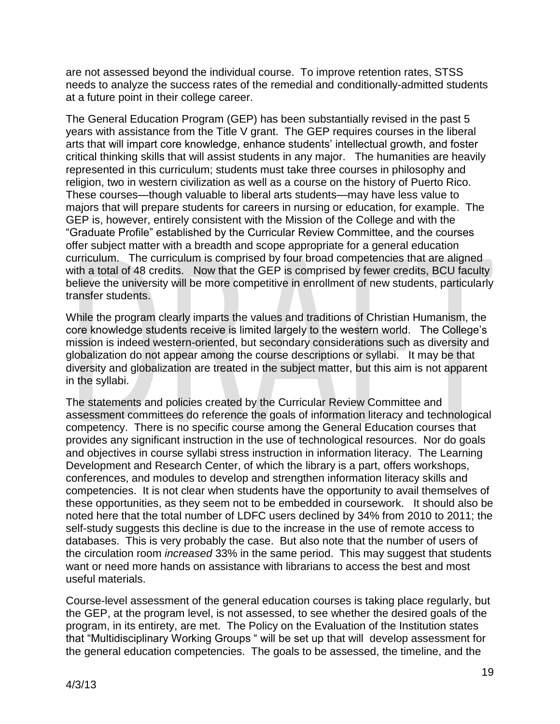are not assessed beyond the individual course. To improve retention rates, STSS needs to analyze the success rates of the remedial and conditionally-admitted students at a future point in their college career.

The General Education Program (GEP) has been substantially revised in the past 5 years with assistance from the Title V grant. The GEP requires courses in the liberal arts that will impart core knowledge, enhance students' intellectual growth, and foster critical thinking skills that will assist students in any major. The humanities are heavily represented in this curriculum; students must take three courses in philosophy and religion, two in western civilization as well as a course on the history of Puerto Rico. These courses—though valuable to liberal arts students—may have less value to majors that will prepare students for careers in nursing or education, for example. The GEP is, however, entirely consistent with the Mission of the College and with the ―Graduate Profile‖ established by the Curricular Review Committee, and the courses offer subject matter with a breadth and scope appropriate for a general education curriculum. The curriculum is comprised by four broad competencies that are aligned with a total of 48 credits. Now that the GEP is comprised by fewer credits, BCU faculty believe the university will be more competitive in enrollment of new students, particularly transfer students.

While the program clearly imparts the values and traditions of Christian Humanism, the core knowledge students receive is limited largely to the western world. The College's mission is indeed western-oriented, but secondary considerations such as diversity and globalization do not appear among the course descriptions or syllabi. It may be that diversity and globalization are treated in the subject matter, but this aim is not apparent in the syllabi.

The statements and policies created by the Curricular Review Committee and assessment committees do reference the goals of information literacy and technological competency. There is no specific course among the General Education courses that provides any significant instruction in the use of technological resources. Nor do goals and objectives in course syllabi stress instruction in information literacy. The Learning Development and Research Center, of which the library is a part, offers workshops, conferences, and modules to develop and strengthen information literacy skills and competencies. It is not clear when students have the opportunity to avail themselves of these opportunities, as they seem not to be embedded in coursework. It should also be noted here that the total number of LDFC users declined by 34% from 2010 to 2011; the self-study suggests this decline is due to the increase in the use of remote access to databases. This is very probably the case. But also note that the number of users of the circulation room *increased* 33% in the same period. This may suggest that students want or need more hands on assistance with librarians to access the best and most useful materials.

Course-level assessment of the general education courses is taking place regularly, but the GEP, at the program level, is not assessed, to see whether the desired goals of the program, in its entirety, are met. The Policy on the Evaluation of the Institution states that "Multidisciplinary Working Groups " will be set up that will develop assessment for the general education competencies. The goals to be assessed, the timeline, and the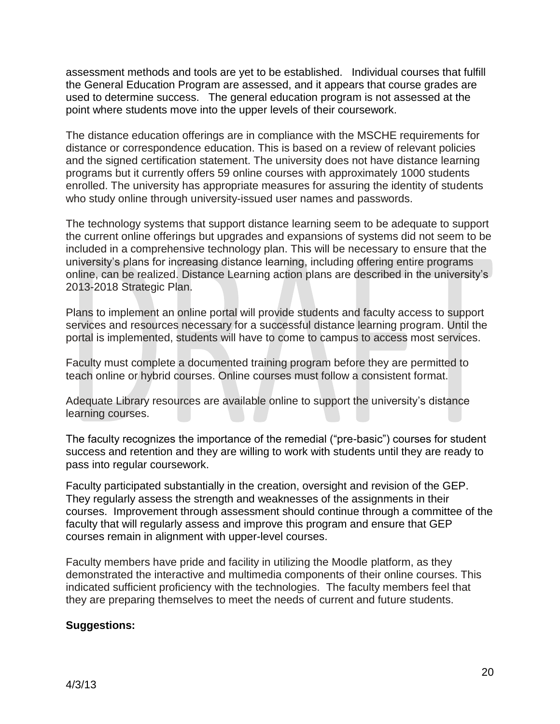assessment methods and tools are yet to be established. Individual courses that fulfill the General Education Program are assessed, and it appears that course grades are used to determine success. The general education program is not assessed at the point where students move into the upper levels of their coursework.

The distance education offerings are in compliance with the MSCHE requirements for distance or correspondence education. This is based on a review of relevant policies and the signed certification statement. The university does not have distance learning programs but it currently offers 59 online courses with approximately 1000 students enrolled. The university has appropriate measures for assuring the identity of students who study online through university-issued user names and passwords.

The technology systems that support distance learning seem to be adequate to support the current online offerings but upgrades and expansions of systems did not seem to be included in a comprehensive technology plan. This will be necessary to ensure that the university's plans for increasing distance learning, including offering entire programs online, can be realized. Distance Learning action plans are described in the university's 2013-2018 Strategic Plan.

Plans to implement an online portal will provide students and faculty access to support services and resources necessary for a successful distance learning program. Until the portal is implemented, students will have to come to campus to access most services.

Faculty must complete a documented training program before they are permitted to teach online or hybrid courses. Online courses must follow a consistent format.

Adequate Library resources are available online to support the university's distance learning courses.

The faculty recognizes the importance of the remedial ("pre-basic") courses for student success and retention and they are willing to work with students until they are ready to pass into regular coursework.

Faculty participated substantially in the creation, oversight and revision of the GEP. They regularly assess the strength and weaknesses of the assignments in their courses. Improvement through assessment should continue through a committee of the faculty that will regularly assess and improve this program and ensure that GEP courses remain in alignment with upper-level courses.

Faculty members have pride and facility in utilizing the Moodle platform, as they demonstrated the interactive and multimedia components of their online courses. This indicated sufficient proficiency with the technologies. The faculty members feel that they are preparing themselves to meet the needs of current and future students.

#### **Suggestions:**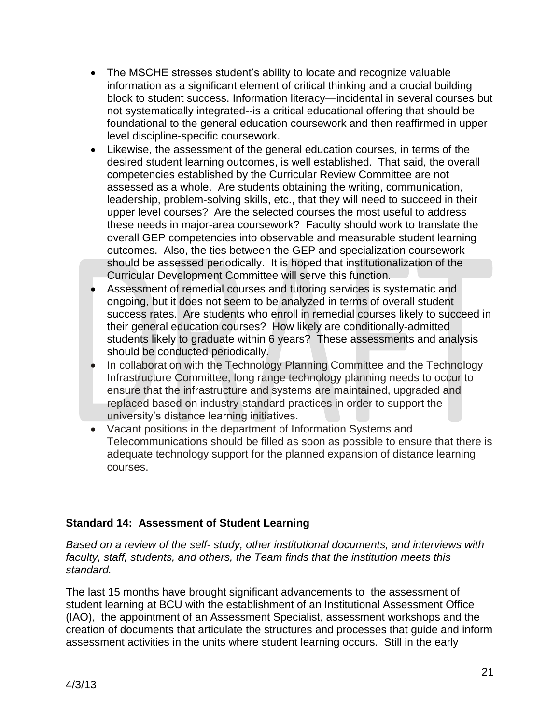- The MSCHE stresses student's ability to locate and recognize valuable information as a significant element of critical thinking and a crucial building block to student success. Information literacy—incidental in several courses but not systematically integrated--is a critical educational offering that should be foundational to the general education coursework and then reaffirmed in upper level discipline-specific coursework.
- Likewise, the assessment of the general education courses, in terms of the desired student learning outcomes, is well established. That said, the overall competencies established by the Curricular Review Committee are not assessed as a whole. Are students obtaining the writing, communication, leadership, problem-solving skills, etc., that they will need to succeed in their upper level courses? Are the selected courses the most useful to address these needs in major-area coursework? Faculty should work to translate the overall GEP competencies into observable and measurable student learning outcomes. Also, the ties between the GEP and specialization coursework should be assessed periodically. It is hoped that institutionalization of the Curricular Development Committee will serve this function.
- Assessment of remedial courses and tutoring services is systematic and ongoing, but it does not seem to be analyzed in terms of overall student success rates. Are students who enroll in remedial courses likely to succeed in their general education courses? How likely are conditionally-admitted students likely to graduate within 6 years? These assessments and analysis should be conducted periodically.
- In collaboration with the Technology Planning Committee and the Technology Infrastructure Committee, long range technology planning needs to occur to ensure that the infrastructure and systems are maintained, upgraded and replaced based on industry-standard practices in order to support the university's distance learning initiatives.
- Vacant positions in the department of Information Systems and Telecommunications should be filled as soon as possible to ensure that there is adequate technology support for the planned expansion of distance learning courses.

## **Standard 14: Assessment of Student Learning**

*Based on a review of the self- study, other institutional documents, and interviews with faculty, staff, students, and others, the Team finds that the institution meets this standard.*

The last 15 months have brought significant advancements to the assessment of student learning at BCU with the establishment of an Institutional Assessment Office (IAO), the appointment of an Assessment Specialist, assessment workshops and the creation of documents that articulate the structures and processes that guide and inform assessment activities in the units where student learning occurs. Still in the early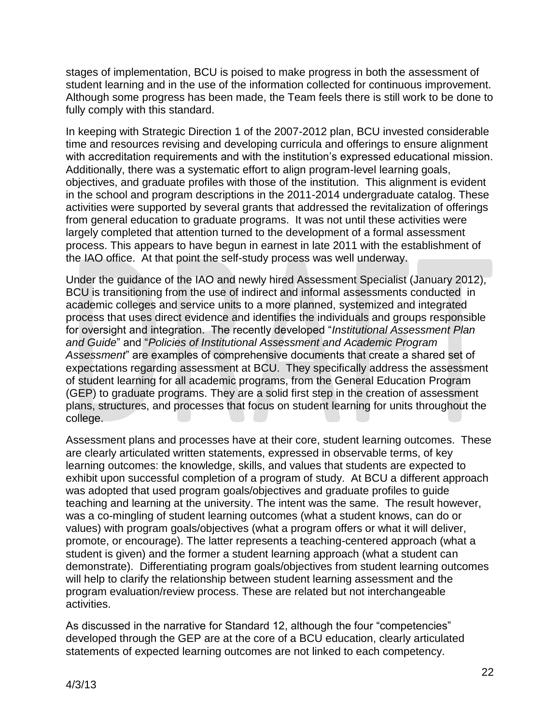stages of implementation, BCU is poised to make progress in both the assessment of student learning and in the use of the information collected for continuous improvement. Although some progress has been made, the Team feels there is still work to be done to fully comply with this standard.

In keeping with Strategic Direction 1 of the 2007-2012 plan, BCU invested considerable time and resources revising and developing curricula and offerings to ensure alignment with accreditation requirements and with the institution's expressed educational mission. Additionally, there was a systematic effort to align program-level learning goals, objectives, and graduate profiles with those of the institution. This alignment is evident in the school and program descriptions in the 2011-2014 undergraduate catalog. These activities were supported by several grants that addressed the revitalization of offerings from general education to graduate programs. It was not until these activities were largely completed that attention turned to the development of a formal assessment process. This appears to have begun in earnest in late 2011 with the establishment of the IAO office. At that point the self-study process was well underway.

Under the guidance of the IAO and newly hired Assessment Specialist (January 2012), BCU is transitioning from the use of indirect and informal assessments conducted in academic colleges and service units to a more planned, systemized and integrated process that uses direct evidence and identifies the individuals and groups responsible for oversight and integration. The recently developed "Institutional Assessment Plan *and Guide*‖ and ―*Policies of Institutional Assessment and Academic Program Assessment*‖ are examples of comprehensive documents that create a shared set of expectations regarding assessment at BCU. They specifically address the assessment of student learning for all academic programs, from the General Education Program (GEP) to graduate programs. They are a solid first step in the creation of assessment plans, structures, and processes that focus on student learning for units throughout the college.

Assessment plans and processes have at their core, student learning outcomes. These are clearly articulated written statements, expressed in observable terms, of key learning outcomes: the knowledge, skills, and values that students are expected to exhibit upon successful completion of a program of study. At BCU a different approach was adopted that used program goals/objectives and graduate profiles to guide teaching and learning at the university. The intent was the same. The result however, was a co-mingling of student learning outcomes (what a student knows, can do or values) with program goals/objectives (what a program offers or what it will deliver, promote, or encourage). The latter represents a teaching-centered approach (what a student is given) and the former a student learning approach (what a student can demonstrate). Differentiating program goals/objectives from student learning outcomes will help to clarify the relationship between student learning assessment and the program evaluation/review process. These are related but not interchangeable activities.

As discussed in the narrative for Standard 12, although the four "competencies" developed through the GEP are at the core of a BCU education, clearly articulated statements of expected learning outcomes are not linked to each competency.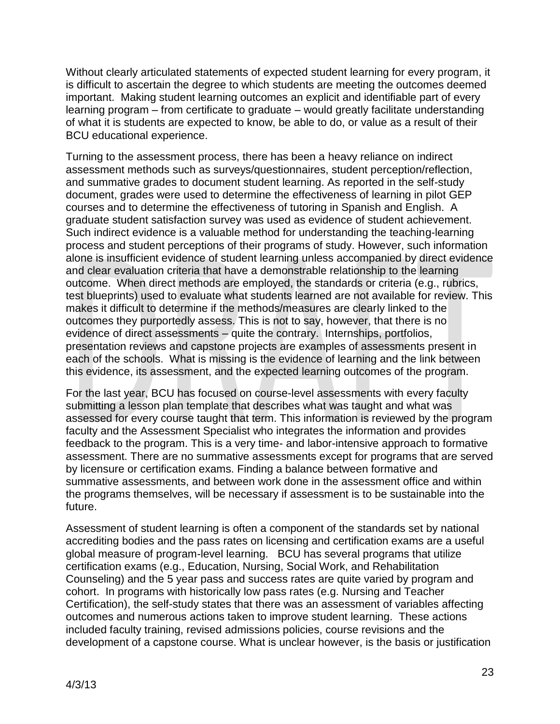Without clearly articulated statements of expected student learning for every program, it is difficult to ascertain the degree to which students are meeting the outcomes deemed important. Making student learning outcomes an explicit and identifiable part of every learning program – from certificate to graduate – would greatly facilitate understanding of what it is students are expected to know, be able to do, or value as a result of their BCU educational experience.

Turning to the assessment process, there has been a heavy reliance on indirect assessment methods such as surveys/questionnaires, student perception/reflection, and summative grades to document student learning. As reported in the self-study document, grades were used to determine the effectiveness of learning in pilot GEP courses and to determine the effectiveness of tutoring in Spanish and English. A graduate student satisfaction survey was used as evidence of student achievement. Such indirect evidence is a valuable method for understanding the teaching-learning process and student perceptions of their programs of study. However, such information alone is insufficient evidence of student learning unless accompanied by direct evidence and clear evaluation criteria that have a demonstrable relationship to the learning outcome. When direct methods are employed, the standards or criteria (e.g., rubrics, test blueprints) used to evaluate what students learned are not available for review. This makes it difficult to determine if the methods/measures are clearly linked to the outcomes they purportedly assess. This is not to say, however, that there is no evidence of direct assessments – quite the contrary. Internships, portfolios, presentation reviews and capstone projects are examples of assessments present in each of the schools. What is missing is the evidence of learning and the link between this evidence, its assessment, and the expected learning outcomes of the program.

For the last year, BCU has focused on course-level assessments with every faculty submitting a lesson plan template that describes what was taught and what was assessed for every course taught that term. This information is reviewed by the program faculty and the Assessment Specialist who integrates the information and provides feedback to the program. This is a very time- and labor-intensive approach to formative assessment. There are no summative assessments except for programs that are served by licensure or certification exams. Finding a balance between formative and summative assessments, and between work done in the assessment office and within the programs themselves, will be necessary if assessment is to be sustainable into the future.

Assessment of student learning is often a component of the standards set by national accrediting bodies and the pass rates on licensing and certification exams are a useful global measure of program-level learning. BCU has several programs that utilize certification exams (e.g., Education, Nursing, Social Work, and Rehabilitation Counseling) and the 5 year pass and success rates are quite varied by program and cohort. In programs with historically low pass rates (e.g. Nursing and Teacher Certification), the self-study states that there was an assessment of variables affecting outcomes and numerous actions taken to improve student learning. These actions included faculty training, revised admissions policies, course revisions and the development of a capstone course. What is unclear however, is the basis or justification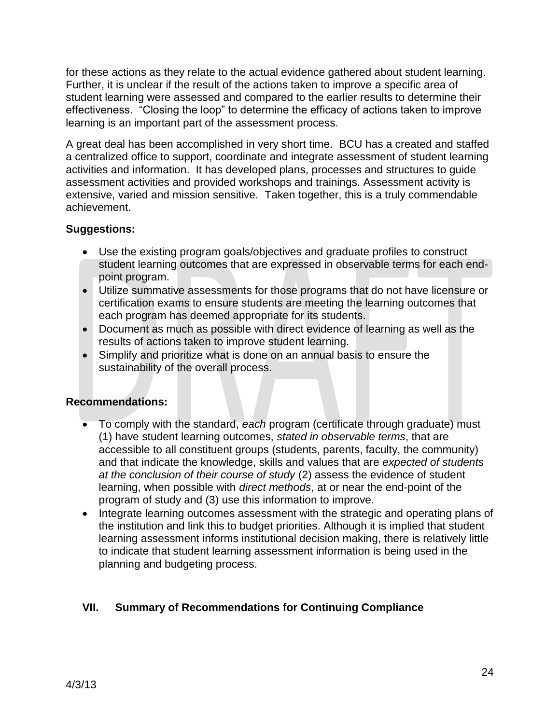for these actions as they relate to the actual evidence gathered about student learning. Further, it is unclear if the result of the actions taken to improve a specific area of student learning were assessed and compared to the earlier results to determine their effectiveness. "Closing the loop" to determine the efficacy of actions taken to improve learning is an important part of the assessment process.

A great deal has been accomplished in very short time. BCU has a created and staffed a centralized office to support, coordinate and integrate assessment of student learning activities and information. It has developed plans, processes and structures to guide assessment activities and provided workshops and trainings. Assessment activity is extensive, varied and mission sensitive. Taken together, this is a truly commendable achievement.

## **Suggestions:**

- Use the existing program goals/objectives and graduate profiles to construct student learning outcomes that are expressed in observable terms for each endpoint program.
- Utilize summative assessments for those programs that do not have licensure or certification exams to ensure students are meeting the learning outcomes that each program has deemed appropriate for its students.
- Document as much as possible with direct evidence of learning as well as the results of actions taken to improve student learning.
- Simplify and prioritize what is done on an annual basis to ensure the sustainability of the overall process.

#### **Recommendations:**

- To comply with the standard, *each* program (certificate through graduate) must (1) have student learning outcomes, *stated in observable terms*, that are accessible to all constituent groups (students, parents, faculty, the community) and that indicate the knowledge, skills and values that are *expected of students at the conclusion of their course of study* (2) assess the evidence of student learning, when possible with *direct methods*, at or near the end-point of the program of study and (3) use this information to improve.
- Integrate learning outcomes assessment with the strategic and operating plans of the institution and link this to budget priorities. Although it is implied that student learning assessment informs institutional decision making, there is relatively little to indicate that student learning assessment information is being used in the planning and budgeting process.

# **VII. Summary of Recommendations for Continuing Compliance**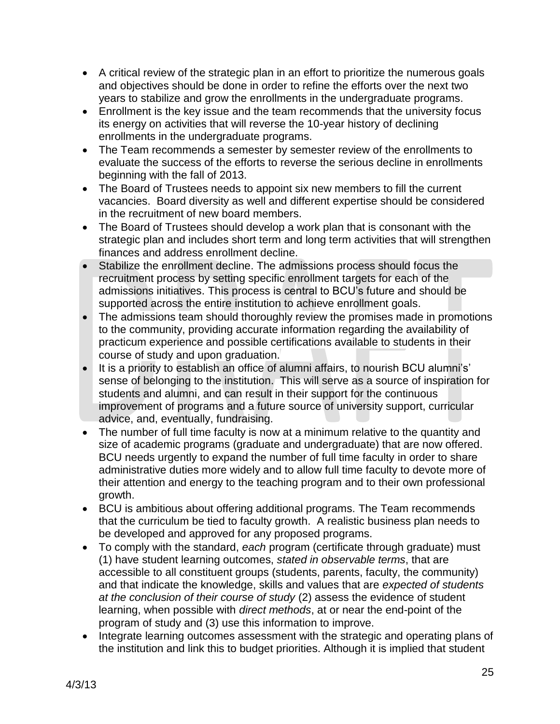- A critical review of the strategic plan in an effort to prioritize the numerous goals and objectives should be done in order to refine the efforts over the next two years to stabilize and grow the enrollments in the undergraduate programs.
- Enrollment is the key issue and the team recommends that the university focus its energy on activities that will reverse the 10-year history of declining enrollments in the undergraduate programs.
- The Team recommends a semester by semester review of the enrollments to evaluate the success of the efforts to reverse the serious decline in enrollments beginning with the fall of 2013.
- The Board of Trustees needs to appoint six new members to fill the current vacancies. Board diversity as well and different expertise should be considered in the recruitment of new board members.
- The Board of Trustees should develop a work plan that is consonant with the strategic plan and includes short term and long term activities that will strengthen finances and address enrollment decline.
- Stabilize the enrollment decline. The admissions process should focus the recruitment process by setting specific enrollment targets for each of the admissions initiatives. This process is central to BCU's future and should be supported across the entire institution to achieve enrollment goals.
- The admissions team should thoroughly review the promises made in promotions to the community, providing accurate information regarding the availability of practicum experience and possible certifications available to students in their course of study and upon graduation.
- It is a priority to establish an office of alumni affairs, to nourish BCU alumni's' sense of belonging to the institution. This will serve as a source of inspiration for students and alumni, and can result in their support for the continuous improvement of programs and a future source of university support, curricular advice, and, eventually, fundraising.
- The number of full time faculty is now at a minimum relative to the quantity and size of academic programs (graduate and undergraduate) that are now offered. BCU needs urgently to expand the number of full time faculty in order to share administrative duties more widely and to allow full time faculty to devote more of their attention and energy to the teaching program and to their own professional growth.
- BCU is ambitious about offering additional programs. The Team recommends that the curriculum be tied to faculty growth. A realistic business plan needs to be developed and approved for any proposed programs.
- To comply with the standard, *each* program (certificate through graduate) must (1) have student learning outcomes, *stated in observable terms*, that are accessible to all constituent groups (students, parents, faculty, the community) and that indicate the knowledge, skills and values that are *expected of students at the conclusion of their course of study* (2) assess the evidence of student learning, when possible with *direct methods*, at or near the end-point of the program of study and (3) use this information to improve.
- Integrate learning outcomes assessment with the strategic and operating plans of the institution and link this to budget priorities. Although it is implied that student